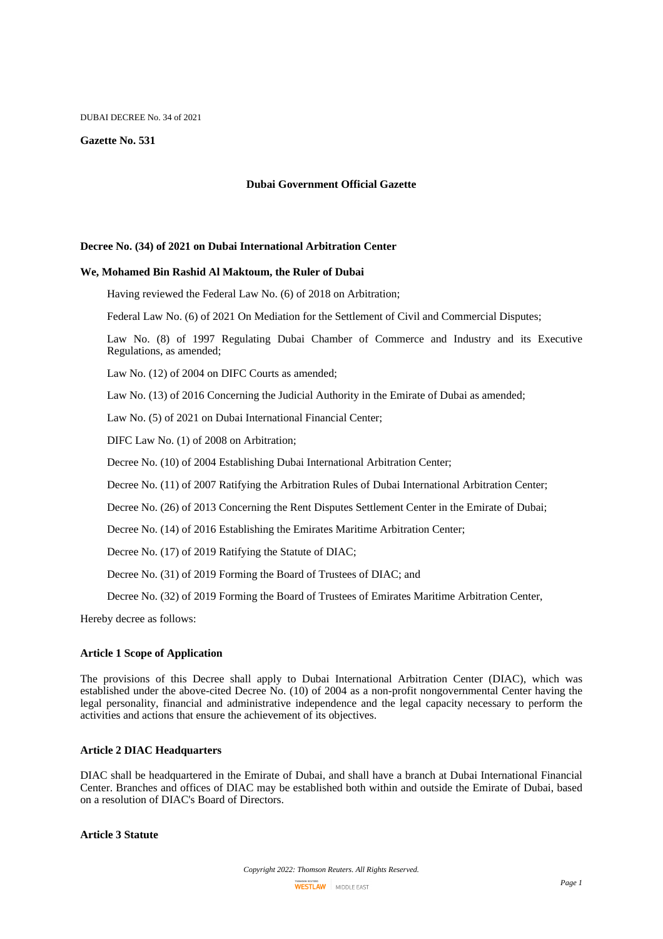#### DUBAI DECREE No. 34 of 2021

#### **Gazette No. 531**

#### **Dubai Government Official Gazette**

#### **Decree No. (34) of 2021 on Dubai International Arbitration Center**

#### **We, Mohamed Bin Rashid Al Maktoum, the Ruler of Dubai**

Having reviewed the Federal Law No. (6) of 2018 on Arbitration;

Federal Law No. (6) of 2021 On Mediation for the Settlement of Civil and Commercial Disputes;

Law No. (8) of 1997 Regulating Dubai Chamber of Commerce and Industry and its Executive Regulations, as amended;

Law No. (12) of 2004 on DIFC Courts as amended;

Law No. (13) of 2016 Concerning the Judicial Authority in the Emirate of Dubai as amended;

Law No. (5) of 2021 on Dubai International Financial Center;

DIFC Law No. (1) of 2008 on Arbitration;

Decree No. (10) of 2004 Establishing Dubai International Arbitration Center;

Decree No. (11) of 2007 Ratifying the Arbitration Rules of Dubai International Arbitration Center;

Decree No. (26) of 2013 Concerning the Rent Disputes Settlement Center in the Emirate of Dubai;

Decree No. (14) of 2016 Establishing the Emirates Maritime Arbitration Center;

Decree No. (17) of 2019 Ratifying the Statute of DIAC;

Decree No. (31) of 2019 Forming the Board of Trustees of DIAC; and

Decree No. (32) of 2019 Forming the Board of Trustees of Emirates Maritime Arbitration Center,

Hereby decree as follows:

#### **Article 1 Scope of Application**

The provisions of this Decree shall apply to Dubai International Arbitration Center (DIAC), which was established under the above-cited Decree No. (10) of 2004 as a non-profit nongovernmental Center having the legal personality, financial and administrative independence and the legal capacity necessary to perform the activities and actions that ensure the achievement of its objectives.

### **Article 2 DIAC Headquarters**

DIAC shall be headquartered in the Emirate of Dubai, and shall have a branch at Dubai International Financial Center. Branches and offices of DIAC may be established both within and outside the Emirate of Dubai, based on a resolution of DIAC's Board of Directors.

# **Article 3 Statute**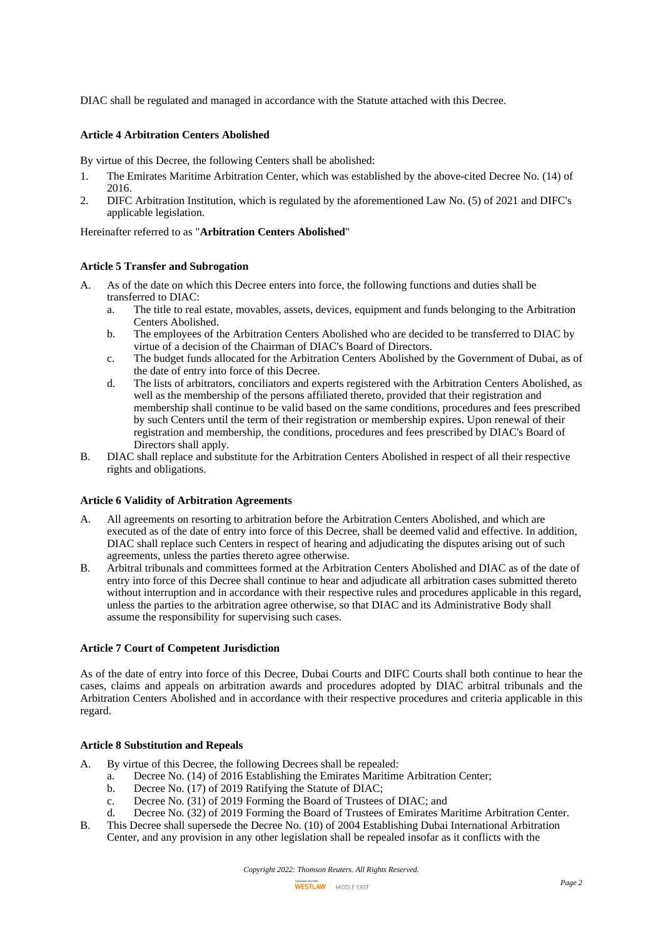DIAC shall be regulated and managed in accordance with the Statute attached with this Decree.

## **Article 4 Arbitration Centers Abolished**

By virtue of this Decree, the following Centers shall be abolished:

- 1. The Emirates Maritime Arbitration Center, which was established by the above-cited Decree No. (14) of 2016.
- 2. DIFC Arbitration Institution, which is regulated by the aforementioned Law No. (5) of 2021 and DIFC's applicable legislation.

### Hereinafter referred to as "**Arbitration Centers Abolished**"

## **Article 5 Transfer and Subrogation**

- A. As of the date on which this Decree enters into force, the following functions and duties shall be transferred to DIAC:
	- a. The title to real estate, movables, assets, devices, equipment and funds belonging to the Arbitration Centers Abolished.
	- b. The employees of the Arbitration Centers Abolished who are decided to be transferred to DIAC by virtue of a decision of the Chairman of DIAC's Board of Directors.
	- c. The budget funds allocated for the Arbitration Centers Abolished by the Government of Dubai, as of the date of entry into force of this Decree.
	- d. The lists of arbitrators, conciliators and experts registered with the Arbitration Centers Abolished, as well as the membership of the persons affiliated thereto, provided that their registration and membership shall continue to be valid based on the same conditions, procedures and fees prescribed by such Centers until the term of their registration or membership expires. Upon renewal of their registration and membership, the conditions, procedures and fees prescribed by DIAC's Board of Directors shall apply.
- B. DIAC shall replace and substitute for the Arbitration Centers Abolished in respect of all their respective rights and obligations.

#### **Article 6 Validity of Arbitration Agreements**

- A. All agreements on resorting to arbitration before the Arbitration Centers Abolished, and which are executed as of the date of entry into force of this Decree, shall be deemed valid and effective. In addition, DIAC shall replace such Centers in respect of hearing and adjudicating the disputes arising out of such agreements, unless the parties thereto agree otherwise.
- B. Arbitral tribunals and committees formed at the Arbitration Centers Abolished and DIAC as of the date of entry into force of this Decree shall continue to hear and adjudicate all arbitration cases submitted thereto without interruption and in accordance with their respective rules and procedures applicable in this regard, unless the parties to the arbitration agree otherwise, so that DIAC and its Administrative Body shall assume the responsibility for supervising such cases.

## **Article 7 Court of Competent Jurisdiction**

As of the date of entry into force of this Decree, Dubai Courts and DIFC Courts shall both continue to hear the cases, claims and appeals on arbitration awards and procedures adopted by DIAC arbitral tribunals and the Arbitration Centers Abolished and in accordance with their respective procedures and criteria applicable in this regard.

## **Article 8 Substitution and Repeals**

- A. By virtue of this Decree, the following Decrees shall be repealed:
	- a. Decree No. (14) of 2016 Establishing the Emirates Maritime Arbitration Center;
	- b. Decree No. (17) of 2019 Ratifying the Statute of DIAC;
	- c. Decree No. (31) of 2019 Forming the Board of Trustees of DIAC; and
	- d. Decree No. (32) of 2019 Forming the Board of Trustees of Emirates Maritime Arbitration Center.
- B. This Decree shall supersede the Decree No. (10) of 2004 Establishing Dubai International Arbitration Center, and any provision in any other legislation shall be repealed insofar as it conflicts with the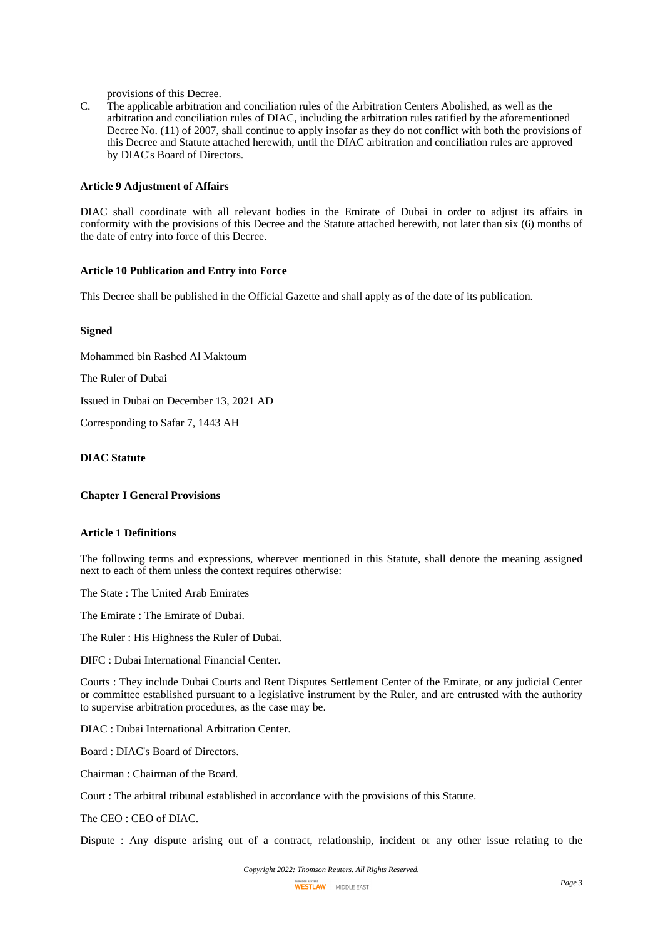provisions of this Decree.

C. The applicable arbitration and conciliation rules of the Arbitration Centers Abolished, as well as the arbitration and conciliation rules of DIAC, including the arbitration rules ratified by the aforementioned Decree No. (11) of 2007, shall continue to apply insofar as they do not conflict with both the provisions of this Decree and Statute attached herewith, until the DIAC arbitration and conciliation rules are approved by DIAC's Board of Directors.

#### **Article 9 Adjustment of Affairs**

DIAC shall coordinate with all relevant bodies in the Emirate of Dubai in order to adjust its affairs in conformity with the provisions of this Decree and the Statute attached herewith, not later than six (6) months of the date of entry into force of this Decree.

### **Article 10 Publication and Entry into Force**

This Decree shall be published in the Official Gazette and shall apply as of the date of its publication.

### **Signed**

Mohammed bin Rashed Al Maktoum

The Ruler of Dubai

Issued in Dubai on December 13, 2021 AD

Corresponding to Safar 7, 1443 AH

# **DIAC Statute**

**Chapter I General Provisions**

### **Article 1 Definitions**

The following terms and expressions, wherever mentioned in this Statute, shall denote the meaning assigned next to each of them unless the context requires otherwise:

The State : The United Arab Emirates

The Emirate : The Emirate of Dubai.

The Ruler : His Highness the Ruler of Dubai.

DIFC : Dubai International Financial Center.

Courts : They include Dubai Courts and Rent Disputes Settlement Center of the Emirate, or any judicial Center or committee established pursuant to a legislative instrument by the Ruler, and are entrusted with the authority to supervise arbitration procedures, as the case may be.

DIAC : Dubai International Arbitration Center.

Board : DIAC's Board of Directors.

Chairman : Chairman of the Board.

Court : The arbitral tribunal established in accordance with the provisions of this Statute.

The CEO : CEO of DIAC.

Dispute : Any dispute arising out of a contract, relationship, incident or any other issue relating to the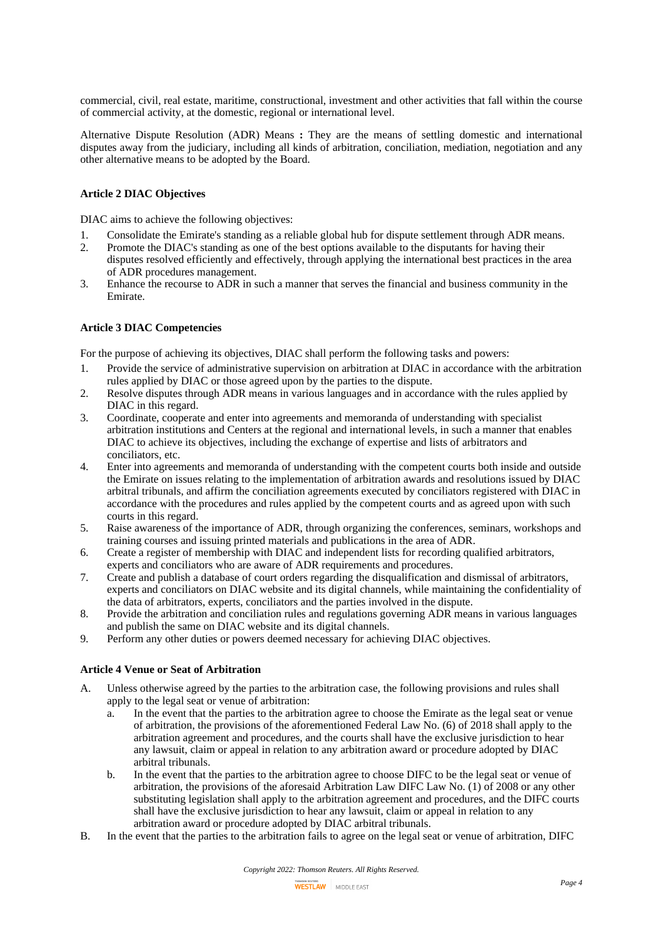commercial, civil, real estate, maritime, constructional, investment and other activities that fall within the course of commercial activity, at the domestic, regional or international level.

Alternative Dispute Resolution (ADR) Means **:** They are the means of settling domestic and international disputes away from the judiciary, including all kinds of arbitration, conciliation, mediation, negotiation and any other alternative means to be adopted by the Board.

## **Article 2 DIAC Objectives**

DIAC aims to achieve the following objectives:

- 1. Consolidate the Emirate's standing as a reliable global hub for dispute settlement through ADR means.
- 2. Promote the DIAC's standing as one of the best options available to the disputants for having their disputes resolved efficiently and effectively, through applying the international best practices in the area of ADR procedures management.
- 3. Enhance the recourse to ADR in such a manner that serves the financial and business community in the Emirate.

## **Article 3 DIAC Competencies**

For the purpose of achieving its objectives, DIAC shall perform the following tasks and powers:

- 1. Provide the service of administrative supervision on arbitration at DIAC in accordance with the arbitration rules applied by DIAC or those agreed upon by the parties to the dispute.
- 2. Resolve disputes through ADR means in various languages and in accordance with the rules applied by DIAC in this regard.
- 3. Coordinate, cooperate and enter into agreements and memoranda of understanding with specialist arbitration institutions and Centers at the regional and international levels, in such a manner that enables DIAC to achieve its objectives, including the exchange of expertise and lists of arbitrators and conciliators, etc.
- 4. Enter into agreements and memoranda of understanding with the competent courts both inside and outside the Emirate on issues relating to the implementation of arbitration awards and resolutions issued by DIAC arbitral tribunals, and affirm the conciliation agreements executed by conciliators registered with DIAC in accordance with the procedures and rules applied by the competent courts and as agreed upon with such courts in this regard.
- 5. Raise awareness of the importance of ADR, through organizing the conferences, seminars, workshops and training courses and issuing printed materials and publications in the area of ADR.
- 6. Create a register of membership with DIAC and independent lists for recording qualified arbitrators, experts and conciliators who are aware of ADR requirements and procedures.
- 7. Create and publish a database of court orders regarding the disqualification and dismissal of arbitrators, experts and conciliators on DIAC website and its digital channels, while maintaining the confidentiality of the data of arbitrators, experts, conciliators and the parties involved in the dispute.
- 8. Provide the arbitration and conciliation rules and regulations governing ADR means in various languages and publish the same on DIAC website and its digital channels.
- 9. Perform any other duties or powers deemed necessary for achieving DIAC objectives.

## **Article 4 Venue or Seat of Arbitration**

- A. Unless otherwise agreed by the parties to the arbitration case, the following provisions and rules shall apply to the legal seat or venue of arbitration:
	- a. In the event that the parties to the arbitration agree to choose the Emirate as the legal seat or venue of arbitration, the provisions of the aforementioned Federal Law No. (6) of 2018 shall apply to the arbitration agreement and procedures, and the courts shall have the exclusive jurisdiction to hear any lawsuit, claim or appeal in relation to any arbitration award or procedure adopted by DIAC arbitral tribunals.
	- b. In the event that the parties to the arbitration agree to choose DIFC to be the legal seat or venue of arbitration, the provisions of the aforesaid Arbitration Law DIFC Law No. (1) of 2008 or any other substituting legislation shall apply to the arbitration agreement and procedures, and the DIFC courts shall have the exclusive jurisdiction to hear any lawsuit, claim or appeal in relation to any arbitration award or procedure adopted by DIAC arbitral tribunals.
- B. In the event that the parties to the arbitration fails to agree on the legal seat or venue of arbitration, DIFC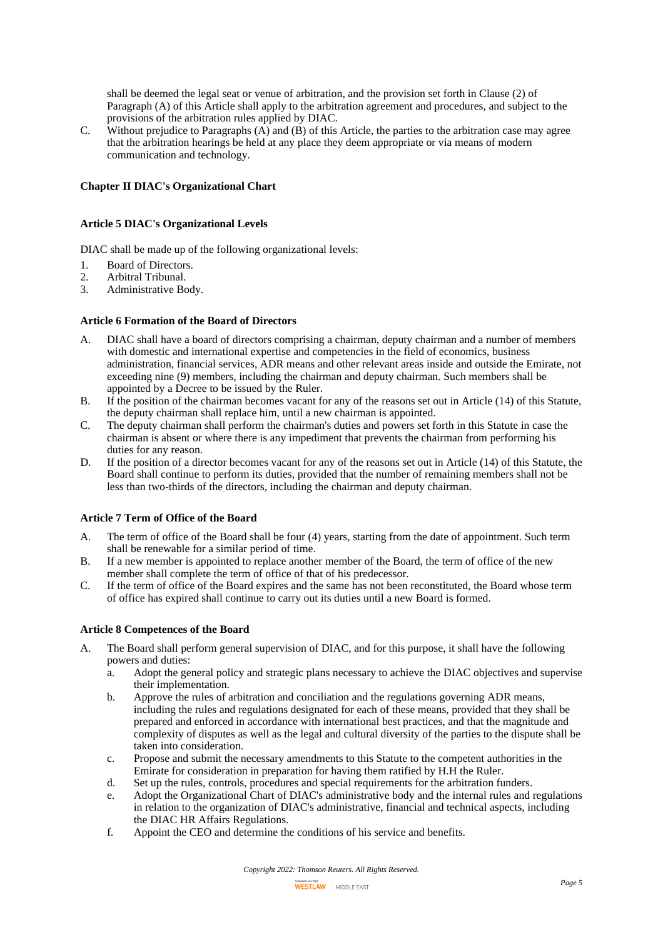shall be deemed the legal seat or venue of arbitration, and the provision set forth in Clause (2) of Paragraph (A) of this Article shall apply to the arbitration agreement and procedures, and subject to the provisions of the arbitration rules applied by DIAC.

C. Without prejudice to Paragraphs  $(\overrightarrow{A})$  and  $(\overrightarrow{B})$  of this Article, the parties to the arbitration case may agree that the arbitration hearings be held at any place they deem appropriate or via means of modern communication and technology.

### **Chapter II DIAC's Organizational Chart**

#### **Article 5 DIAC's Organizational Levels**

DIAC shall be made up of the following organizational levels:

- 1. Board of Directors.<br>2. Arbitral Tribunal.
- 2. Arbitral Tribunal.
- 3. Administrative Body.

## **Article 6 Formation of the Board of Directors**

- A. DIAC shall have a board of directors comprising a chairman, deputy chairman and a number of members with domestic and international expertise and competencies in the field of economics, business administration, financial services, ADR means and other relevant areas inside and outside the Emirate, not exceeding nine (9) members, including the chairman and deputy chairman. Such members shall be appointed by a Decree to be issued by the Ruler.
- B. If the position of the chairman becomes vacant for any of the reasons set out in Article (14) of this Statute, the deputy chairman shall replace him, until a new chairman is appointed.
- C. The deputy chairman shall perform the chairman's duties and powers set forth in this Statute in case the chairman is absent or where there is any impediment that prevents the chairman from performing his duties for any reason.
- D. If the position of a director becomes vacant for any of the reasons set out in Article (14) of this Statute, the Board shall continue to perform its duties, provided that the number of remaining members shall not be less than two-thirds of the directors, including the chairman and deputy chairman.

### **Article 7 Term of Office of the Board**

- A. The term of office of the Board shall be four (4) years, starting from the date of appointment. Such term shall be renewable for a similar period of time.
- B. If a new member is appointed to replace another member of the Board, the term of office of the new member shall complete the term of office of that of his predecessor.
- C. If the term of office of the Board expires and the same has not been reconstituted, the Board whose term of office has expired shall continue to carry out its duties until a new Board is formed.

#### **Article 8 Competences of the Board**

- A. The Board shall perform general supervision of DIAC, and for this purpose, it shall have the following powers and duties:
	- a. Adopt the general policy and strategic plans necessary to achieve the DIAC objectives and supervise their implementation.
	- b. Approve the rules of arbitration and conciliation and the regulations governing ADR means, including the rules and regulations designated for each of these means, provided that they shall be prepared and enforced in accordance with international best practices, and that the magnitude and complexity of disputes as well as the legal and cultural diversity of the parties to the dispute shall be taken into consideration.
	- c. Propose and submit the necessary amendments to this Statute to the competent authorities in the Emirate for consideration in preparation for having them ratified by H.H the Ruler.
	- d. Set up the rules, controls, procedures and special requirements for the arbitration funders.
	- e. Adopt the Organizational Chart of DIAC's administrative body and the internal rules and regulations in relation to the organization of DIAC's administrative, financial and technical aspects, including the DIAC HR Affairs Regulations.
	- f. Appoint the CEO and determine the conditions of his service and benefits.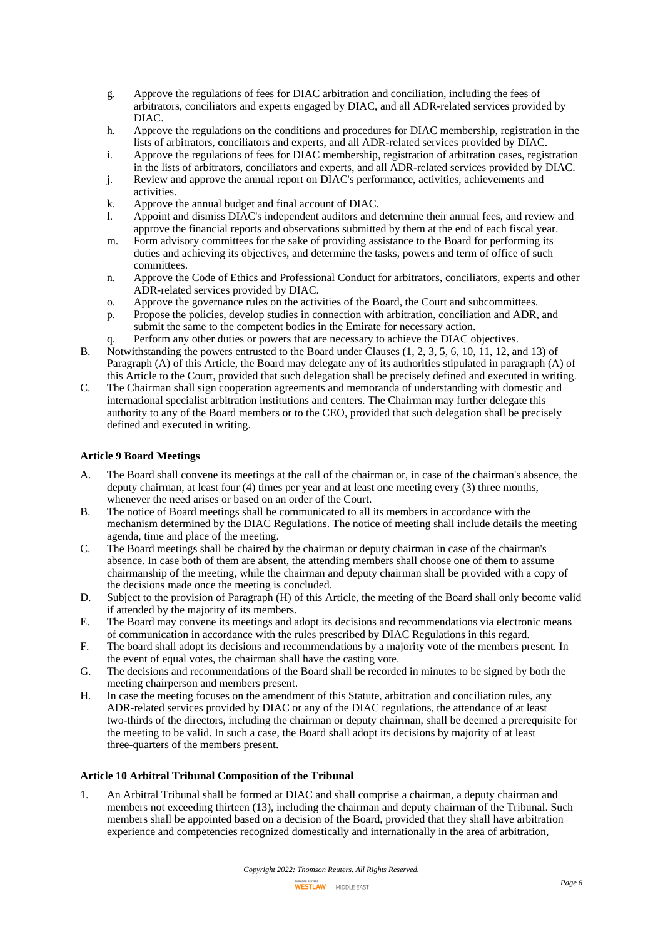- g. Approve the regulations of fees for DIAC arbitration and conciliation, including the fees of arbitrators, conciliators and experts engaged by DIAC, and all ADR-related services provided by DIAC.
- h. Approve the regulations on the conditions and procedures for DIAC membership, registration in the lists of arbitrators, conciliators and experts, and all ADR-related services provided by DIAC.
- i. Approve the regulations of fees for DIAC membership, registration of arbitration cases, registration in the lists of arbitrators, conciliators and experts, and all ADR-related services provided by DIAC.
- j. Review and approve the annual report on DIAC's performance, activities, achievements and activities.
- k. Approve the annual budget and final account of DIAC.
- l. Appoint and dismiss DIAC's independent auditors and determine their annual fees, and review and approve the financial reports and observations submitted by them at the end of each fiscal year.
- m. Form advisory committees for the sake of providing assistance to the Board for performing its duties and achieving its objectives, and determine the tasks, powers and term of office of such committees.
- n. Approve the Code of Ethics and Professional Conduct for arbitrators, conciliators, experts and other ADR-related services provided by DIAC.
- o. Approve the governance rules on the activities of the Board, the Court and subcommittees.
- p. Propose the policies, develop studies in connection with arbitration, conciliation and ADR, and submit the same to the competent bodies in the Emirate for necessary action.
- q. Perform any other duties or powers that are necessary to achieve the DIAC objectives. B. Notwithstanding the powers entrusted to the Board under Clauses (1, 2, 3, 5, 6, 10, 11, 12, and 13) of Paragraph (A) of this Article, the Board may delegate any of its authorities stipulated in paragraph (A) of this Article to the Court, provided that such delegation shall be precisely defined and executed in writing.
- C. The Chairman shall sign cooperation agreements and memoranda of understanding with domestic and international specialist arbitration institutions and centers. The Chairman may further delegate this authority to any of the Board members or to the CEO, provided that such delegation shall be precisely defined and executed in writing.

## **Article 9 Board Meetings**

- A. The Board shall convene its meetings at the call of the chairman or, in case of the chairman's absence, the deputy chairman, at least four (4) times per year and at least one meeting every (3) three months, whenever the need arises or based on an order of the Court.
- B. The notice of Board meetings shall be communicated to all its members in accordance with the mechanism determined by the DIAC Regulations. The notice of meeting shall include details the meeting agenda, time and place of the meeting.
- C. The Board meetings shall be chaired by the chairman or deputy chairman in case of the chairman's absence. In case both of them are absent, the attending members shall choose one of them to assume chairmanship of the meeting, while the chairman and deputy chairman shall be provided with a copy of the decisions made once the meeting is concluded.
- D. Subject to the provision of Paragraph (H) of this Article, the meeting of the Board shall only become valid if attended by the majority of its members.
- E. The Board may convene its meetings and adopt its decisions and recommendations via electronic means of communication in accordance with the rules prescribed by DIAC Regulations in this regard.
- F. The board shall adopt its decisions and recommendations by a majority vote of the members present. In the event of equal votes, the chairman shall have the casting vote.
- G. The decisions and recommendations of the Board shall be recorded in minutes to be signed by both the meeting chairperson and members present.
- H. In case the meeting focuses on the amendment of this Statute, arbitration and conciliation rules, any ADR-related services provided by DIAC or any of the DIAC regulations, the attendance of at least two-thirds of the directors, including the chairman or deputy chairman, shall be deemed a prerequisite for the meeting to be valid. In such a case, the Board shall adopt its decisions by majority of at least three-quarters of the members present.

## **Article 10 Arbitral Tribunal Composition of the Tribunal**

1. An Arbitral Tribunal shall be formed at DIAC and shall comprise a chairman, a deputy chairman and members not exceeding thirteen (13), including the chairman and deputy chairman of the Tribunal. Such members shall be appointed based on a decision of the Board, provided that they shall have arbitration experience and competencies recognized domestically and internationally in the area of arbitration,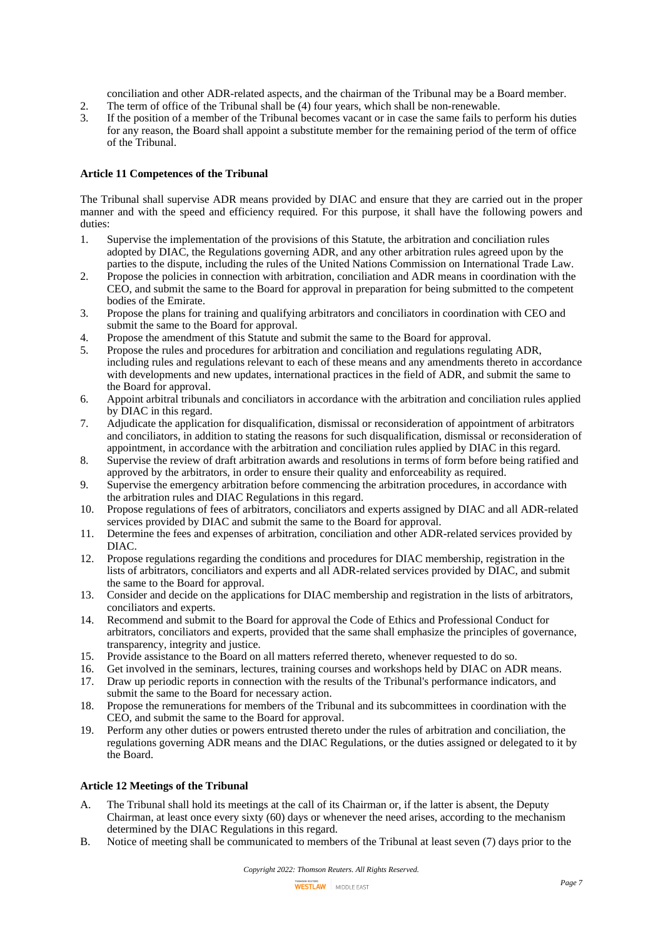conciliation and other ADR-related aspects, and the chairman of the Tribunal may be a Board member.

- 2. The term of office of the Tribunal shall be (4) four years, which shall be non-renewable.<br>3. If the position of a member of the Tribunal becomes vacant or in case the same fails to p
- If the position of a member of the Tribunal becomes vacant or in case the same fails to perform his duties for any reason, the Board shall appoint a substitute member for the remaining period of the term of office of the Tribunal.

### **Article 11 Competences of the Tribunal**

The Tribunal shall supervise ADR means provided by DIAC and ensure that they are carried out in the proper manner and with the speed and efficiency required. For this purpose, it shall have the following powers and duties:

- 1. Supervise the implementation of the provisions of this Statute, the arbitration and conciliation rules adopted by DIAC, the Regulations governing ADR, and any other arbitration rules agreed upon by the parties to the dispute, including the rules of the United Nations Commission on International Trade Law.
- 2. Propose the policies in connection with arbitration, conciliation and ADR means in coordination with the CEO, and submit the same to the Board for approval in preparation for being submitted to the competent bodies of the Emirate.
- 3. Propose the plans for training and qualifying arbitrators and conciliators in coordination with CEO and submit the same to the Board for approval.
- 4. Propose the amendment of this Statute and submit the same to the Board for approval.
- 5. Propose the rules and procedures for arbitration and conciliation and regulations regulating ADR, including rules and regulations relevant to each of these means and any amendments thereto in accordance with developments and new updates, international practices in the field of ADR, and submit the same to the Board for approval.
- 6. Appoint arbitral tribunals and conciliators in accordance with the arbitration and conciliation rules applied by DIAC in this regard.
- 7. Adjudicate the application for disqualification, dismissal or reconsideration of appointment of arbitrators and conciliators, in addition to stating the reasons for such disqualification, dismissal or reconsideration of appointment, in accordance with the arbitration and conciliation rules applied by DIAC in this regard.
- 8. Supervise the review of draft arbitration awards and resolutions in terms of form before being ratified and approved by the arbitrators, in order to ensure their quality and enforceability as required.
- 9. Supervise the emergency arbitration before commencing the arbitration procedures, in accordance with the arbitration rules and DIAC Regulations in this regard.
- 10. Propose regulations of fees of arbitrators, conciliators and experts assigned by DIAC and all ADR-related services provided by DIAC and submit the same to the Board for approval.
- 11. Determine the fees and expenses of arbitration, conciliation and other ADR-related services provided by DIAC.
- 12. Propose regulations regarding the conditions and procedures for DIAC membership, registration in the lists of arbitrators, conciliators and experts and all ADR-related services provided by DIAC, and submit the same to the Board for approval.
- 13. Consider and decide on the applications for DIAC membership and registration in the lists of arbitrators, conciliators and experts.
- 14. Recommend and submit to the Board for approval the Code of Ethics and Professional Conduct for arbitrators, conciliators and experts, provided that the same shall emphasize the principles of governance, transparency, integrity and justice.
- 15. Provide assistance to the Board on all matters referred thereto, whenever requested to do so.
- 16. Get involved in the seminars, lectures, training courses and workshops held by DIAC on ADR means.
- 17. Draw up periodic reports in connection with the results of the Tribunal's performance indicators, and submit the same to the Board for necessary action.
- 18. Propose the remunerations for members of the Tribunal and its subcommittees in coordination with the CEO, and submit the same to the Board for approval.
- 19. Perform any other duties or powers entrusted thereto under the rules of arbitration and conciliation, the regulations governing ADR means and the DIAC Regulations, or the duties assigned or delegated to it by the Board.

## **Article 12 Meetings of the Tribunal**

- A. The Tribunal shall hold its meetings at the call of its Chairman or, if the latter is absent, the Deputy Chairman, at least once every sixty (60) days or whenever the need arises, according to the mechanism determined by the DIAC Regulations in this regard.
- B. Notice of meeting shall be communicated to members of the Tribunal at least seven (7) days prior to the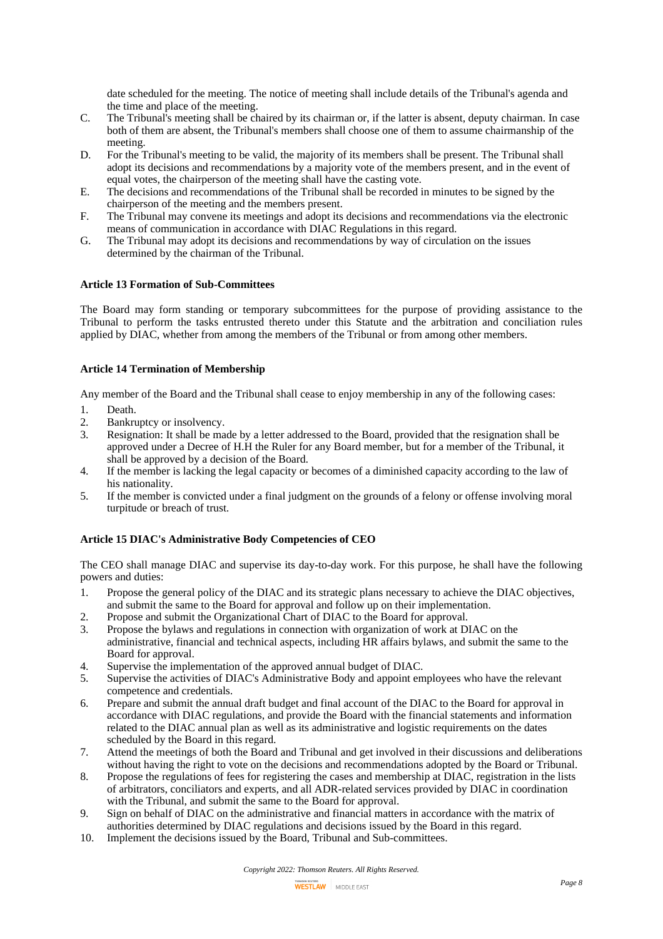date scheduled for the meeting. The notice of meeting shall include details of the Tribunal's agenda and the time and place of the meeting.

- C. The Tribunal's meeting shall be chaired by its chairman or, if the latter is absent, deputy chairman. In case both of them are absent, the Tribunal's members shall choose one of them to assume chairmanship of the meeting.
- D. For the Tribunal's meeting to be valid, the majority of its members shall be present. The Tribunal shall adopt its decisions and recommendations by a majority vote of the members present, and in the event of equal votes, the chairperson of the meeting shall have the casting vote.
- E. The decisions and recommendations of the Tribunal shall be recorded in minutes to be signed by the chairperson of the meeting and the members present.
- F. The Tribunal may convene its meetings and adopt its decisions and recommendations via the electronic means of communication in accordance with DIAC Regulations in this regard.
- G. The Tribunal may adopt its decisions and recommendations by way of circulation on the issues determined by the chairman of the Tribunal.

### **Article 13 Formation of Sub-Committees**

The Board may form standing or temporary subcommittees for the purpose of providing assistance to the Tribunal to perform the tasks entrusted thereto under this Statute and the arbitration and conciliation rules applied by DIAC, whether from among the members of the Tribunal or from among other members.

### **Article 14 Termination of Membership**

Any member of the Board and the Tribunal shall cease to enjoy membership in any of the following cases:

- 1. Death.
- 2. Bankruptcy or insolvency.<br>3. Resignation: It shall be ma
- 3. Resignation: It shall be made by a letter addressed to the Board, provided that the resignation shall be approved under a Decree of H.H the Ruler for any Board member, but for a member of the Tribunal, it shall be approved by a decision of the Board.
- 4. If the member is lacking the legal capacity or becomes of a diminished capacity according to the law of his nationality.
- 5. If the member is convicted under a final judgment on the grounds of a felony or offense involving moral turpitude or breach of trust.

## **Article 15 DIAC's Administrative Body Competencies of CEO**

The CEO shall manage DIAC and supervise its day-to-day work. For this purpose, he shall have the following powers and duties:

- 1. Propose the general policy of the DIAC and its strategic plans necessary to achieve the DIAC objectives, and submit the same to the Board for approval and follow up on their implementation.
- 2. Propose and submit the Organizational Chart of DIAC to the Board for approval.<br>3. Propose the bylaws and regulations in connection with organization of work at D
- 3. Propose the bylaws and regulations in connection with organization of work at DIAC on the administrative, financial and technical aspects, including HR affairs bylaws, and submit the same to the Board for approval.
- 4. Supervise the implementation of the approved annual budget of DIAC.
- 5. Supervise the activities of DIAC's Administrative Body and appoint employees who have the relevant competence and credentials.
- 6. Prepare and submit the annual draft budget and final account of the DIAC to the Board for approval in accordance with DIAC regulations, and provide the Board with the financial statements and information related to the DIAC annual plan as well as its administrative and logistic requirements on the dates scheduled by the Board in this regard.
- 7. Attend the meetings of both the Board and Tribunal and get involved in their discussions and deliberations without having the right to vote on the decisions and recommendations adopted by the Board or Tribunal.
- 8. Propose the regulations of fees for registering the cases and membership at DIAC, registration in the lists of arbitrators, conciliators and experts, and all ADR-related services provided by DIAC in coordination with the Tribunal, and submit the same to the Board for approval.
- 9. Sign on behalf of DIAC on the administrative and financial matters in accordance with the matrix of authorities determined by DIAC regulations and decisions issued by the Board in this regard.
- 10. Implement the decisions issued by the Board, Tribunal and Sub-committees.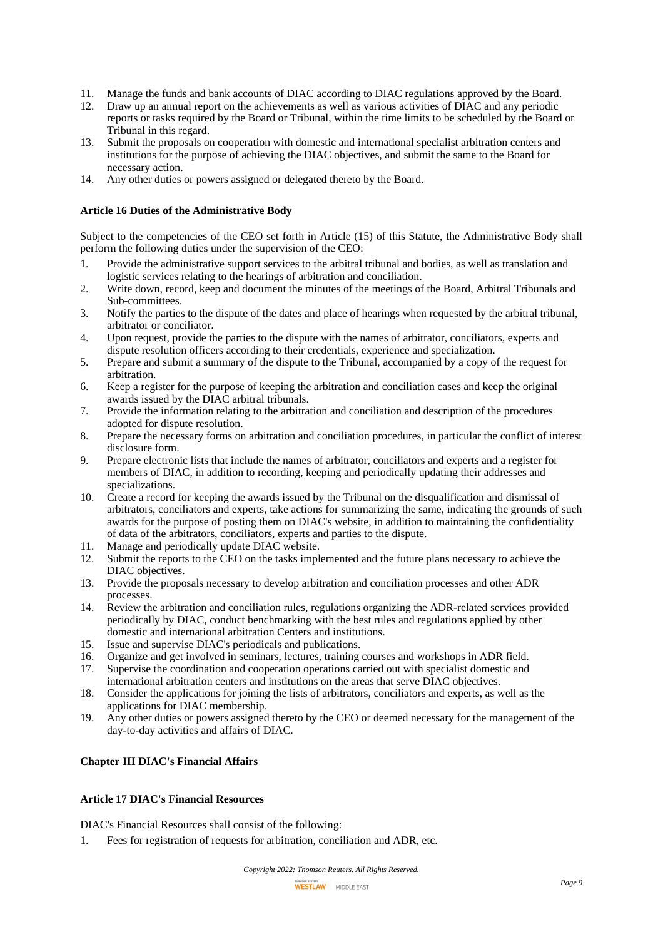- 11. Manage the funds and bank accounts of DIAC according to DIAC regulations approved by the Board.
- 12. Draw up an annual report on the achievements as well as various activities of DIAC and any periodic reports or tasks required by the Board or Tribunal, within the time limits to be scheduled by the Board or Tribunal in this regard.
- 13. Submit the proposals on cooperation with domestic and international specialist arbitration centers and institutions for the purpose of achieving the DIAC objectives, and submit the same to the Board for necessary action.
- 14. Any other duties or powers assigned or delegated thereto by the Board.

### **Article 16 Duties of the Administrative Body**

Subject to the competencies of the CEO set forth in Article (15) of this Statute, the Administrative Body shall perform the following duties under the supervision of the CEO:

- 1. Provide the administrative support services to the arbitral tribunal and bodies, as well as translation and logistic services relating to the hearings of arbitration and conciliation.
- 2. Write down, record, keep and document the minutes of the meetings of the Board, Arbitral Tribunals and Sub-committees.
- 3. Notify the parties to the dispute of the dates and place of hearings when requested by the arbitral tribunal, arbitrator or conciliator.
- 4. Upon request, provide the parties to the dispute with the names of arbitrator, conciliators, experts and dispute resolution officers according to their credentials, experience and specialization.
- 5. Prepare and submit a summary of the dispute to the Tribunal, accompanied by a copy of the request for arbitration.
- 6. Keep a register for the purpose of keeping the arbitration and conciliation cases and keep the original awards issued by the DIAC arbitral tribunals.
- 7. Provide the information relating to the arbitration and conciliation and description of the procedures adopted for dispute resolution.
- 8. Prepare the necessary forms on arbitration and conciliation procedures, in particular the conflict of interest disclosure form.
- 9. Prepare electronic lists that include the names of arbitrator, conciliators and experts and a register for members of DIAC, in addition to recording, keeping and periodically updating their addresses and specializations.
- 10. Create a record for keeping the awards issued by the Tribunal on the disqualification and dismissal of arbitrators, conciliators and experts, take actions for summarizing the same, indicating the grounds of such awards for the purpose of posting them on DIAC's website, in addition to maintaining the confidentiality of data of the arbitrators, conciliators, experts and parties to the dispute.
- 11. Manage and periodically update DIAC website.
- 12. Submit the reports to the CEO on the tasks implemented and the future plans necessary to achieve the DIAC objectives.
- 13. Provide the proposals necessary to develop arbitration and conciliation processes and other ADR processes.
- 14. Review the arbitration and conciliation rules, regulations organizing the ADR-related services provided periodically by DIAC, conduct benchmarking with the best rules and regulations applied by other domestic and international arbitration Centers and institutions.
- 15. Issue and supervise DIAC's periodicals and publications.
- 16. Organize and get involved in seminars, lectures, training courses and workshops in ADR field.<br>17. Supervise the coordination and cooperation operations carried out with specialist domestic and
- Supervise the coordination and cooperation operations carried out with specialist domestic and international arbitration centers and institutions on the areas that serve DIAC objectives.
- 18. Consider the applications for joining the lists of arbitrators, conciliators and experts, as well as the applications for DIAC membership.
- 19. Any other duties or powers assigned thereto by the CEO or deemed necessary for the management of the day-to-day activities and affairs of DIAC.

## **Chapter III DIAC's Financial Affairs**

# **Article 17 DIAC's Financial Resources**

DIAC's Financial Resources shall consist of the following:

1. Fees for registration of requests for arbitration, conciliation and ADR, etc.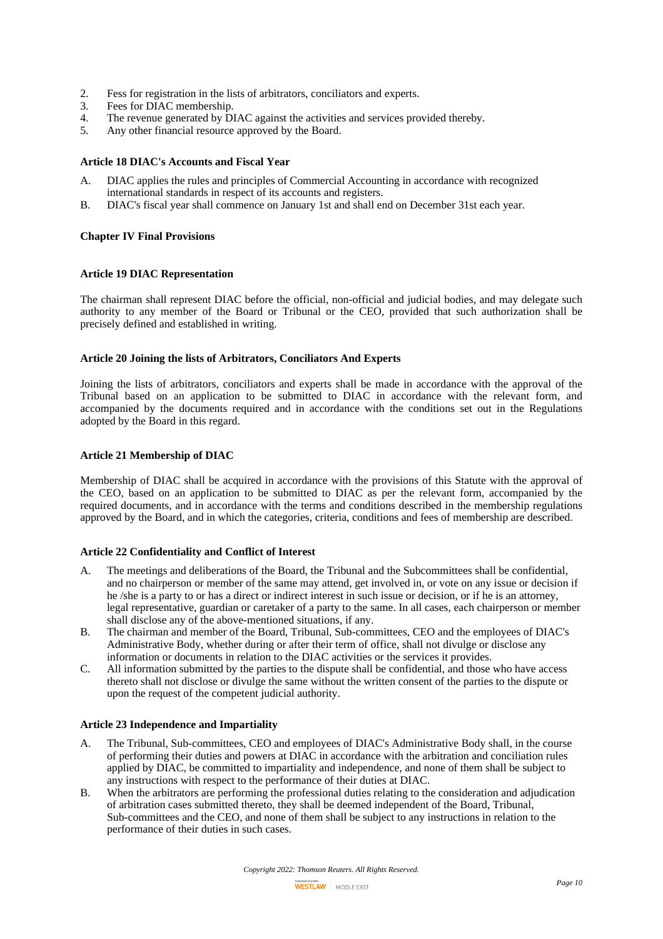- 2. Fess for registration in the lists of arbitrators, conciliators and experts.<br>3. Fees for DIAC membership.
- Fees for DIAC membership.
- 4. The revenue generated by DIAC against the activities and services provided thereby.
- 5. Any other financial resource approved by the Board.

### **Article 18 DIAC's Accounts and Fiscal Year**

- A. DIAC applies the rules and principles of Commercial Accounting in accordance with recognized international standards in respect of its accounts and registers.
- B. DIAC's fiscal year shall commence on January 1st and shall end on December 31st each year.

#### **Chapter IV Final Provisions**

#### **Article 19 DIAC Representation**

The chairman shall represent DIAC before the official, non-official and judicial bodies, and may delegate such authority to any member of the Board or Tribunal or the CEO, provided that such authorization shall be precisely defined and established in writing.

#### **Article 20 Joining the lists of Arbitrators, Conciliators And Experts**

Joining the lists of arbitrators, conciliators and experts shall be made in accordance with the approval of the Tribunal based on an application to be submitted to DIAC in accordance with the relevant form, and accompanied by the documents required and in accordance with the conditions set out in the Regulations adopted by the Board in this regard.

### **Article 21 Membership of DIAC**

Membership of DIAC shall be acquired in accordance with the provisions of this Statute with the approval of the CEO, based on an application to be submitted to DIAC as per the relevant form, accompanied by the required documents, and in accordance with the terms and conditions described in the membership regulations approved by the Board, and in which the categories, criteria, conditions and fees of membership are described.

#### **Article 22 Confidentiality and Conflict of Interest**

- A. The meetings and deliberations of the Board, the Tribunal and the Subcommittees shall be confidential, and no chairperson or member of the same may attend, get involved in, or vote on any issue or decision if he /she is a party to or has a direct or indirect interest in such issue or decision, or if he is an attorney, legal representative, guardian or caretaker of a party to the same. In all cases, each chairperson or member shall disclose any of the above-mentioned situations, if any.
- B. The chairman and member of the Board, Tribunal, Sub-committees, CEO and the employees of DIAC's Administrative Body, whether during or after their term of office, shall not divulge or disclose any information or documents in relation to the DIAC activities or the services it provides.
- C. All information submitted by the parties to the dispute shall be confidential, and those who have access thereto shall not disclose or divulge the same without the written consent of the parties to the dispute or upon the request of the competent judicial authority.

#### **Article 23 Independence and Impartiality**

- A. The Tribunal, Sub-committees, CEO and employees of DIAC's Administrative Body shall, in the course of performing their duties and powers at DIAC in accordance with the arbitration and conciliation rules applied by DIAC, be committed to impartiality and independence, and none of them shall be subject to any instructions with respect to the performance of their duties at DIAC.
- B. When the arbitrators are performing the professional duties relating to the consideration and adjudication of arbitration cases submitted thereto, they shall be deemed independent of the Board, Tribunal, Sub-committees and the CEO, and none of them shall be subject to any instructions in relation to the performance of their duties in such cases.